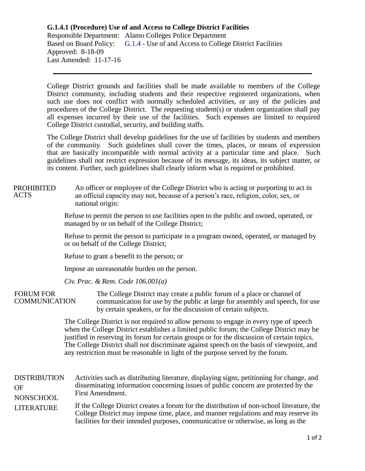## **G.1.4.1 (Procedure) Use of and Access to College District Facilities** Responsible Department: Alamo Colleges Police Department Based on Board Policy: [G.1.4](https://www.alamo.edu/siteassets/district/about-us/leadership/board-of-trustees/policies-pdfs/section-g/g.1.4-policy2.pdf) - Use of and Access to College District Facilities Approved: 8-18-09 Last Amended: 11-17-16

College District grounds and facilities shall be made available to members of the College District community, including students and their respective registered organizations, when such use does not conflict with normally scheduled activities, or any of the policies and procedures of the College District. The requesting student(s) or student organization shall pay all expenses incurred by their use of the facilities. Such expenses are limited to required College District custodial, security, and building staffs.

The College District shall develop guidelines for the use of facilities by students and members of the community. Such guidelines shall cover the times, places, or means of expression that are basically incompatible with normal activity at a particular time and place. Such guidelines shall not restrict expression because of its message, its ideas, its subject matter, or its content. Further, such guidelines shall clearly inform what is required or prohibited.

## An officer or employee of the College District who is acting or purporting to act in an official capacity may not, because of a person's race, religion, color, sex, or national origin: PROHIBITED ACTS

Refuse to permit the person to use facilities open to the public and owned, operated, or managed by or on behalf of the College District;

Refuse to permit the person to participate in a program owned, operated, or managed by or on behalf of the College District;

Refuse to grant a benefit to the person; or

Impose an unreasonable burden on the person.

*Civ. Prac. & Rem. Code 106.001(a)*

The College District may create a public forum of a place or channel of communication for use by the public at large for assembly and speech, for use by certain speakers, or for the discussion of certain subjects. FORUM FOR **COMMUNICATION** 

> The College District is not required to allow persons to engage in every type of speech when the College District establishes a limited public forum; the College District may be justified in reserving its forum for certain groups or for the discussion of certain topics. The College District shall not discriminate against speech on the basis of viewpoint, and any restriction must be reasonable in light of the purpose served by the forum.

Activities such as distributing literature, displaying signs, petitioning for change, and disseminating information concerning issues of public concern are protected by the First Amendment. If the College District creates a forum for the distribution of non-school literature, the College District may impose time, place, and manner regulations and may reserve its facilities for their intended purposes, communicative or otherwise, as long as the DISTRIBUTION OF NONSCHOOL LITERATURE